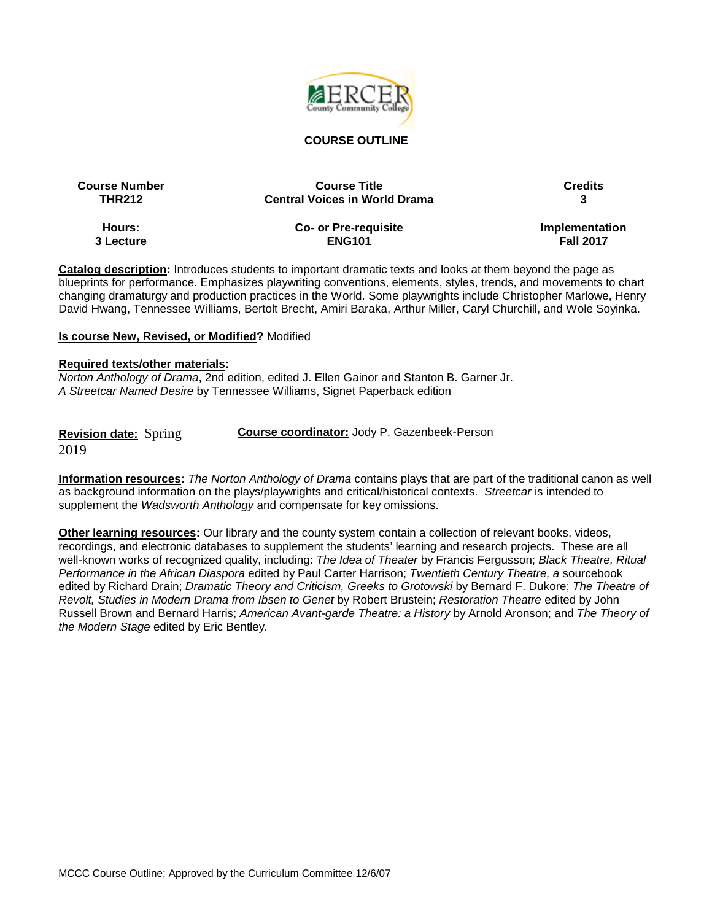

#### **COURSE OUTLINE**

| <b>Course Number</b> | <b>Course Title</b>                  | <b>Credits</b>   |
|----------------------|--------------------------------------|------------------|
| <b>THR212</b>        | <b>Central Voices in World Drama</b> |                  |
| Hours:               | Co- or Pre-requisite                 | Implementation   |
| 3 Lecture            | <b>ENG101</b>                        | <b>Fall 2017</b> |

**Catalog description:** Introduces students to important dramatic texts and looks at them beyond the page as blueprints for performance. Emphasizes playwriting conventions, elements, styles, trends, and movements to chart changing dramaturgy and production practices in the World. Some playwrights include Christopher Marlowe, Henry David Hwang, Tennessee Williams, Bertolt Brecht, Amiri Baraka, Arthur Miller, Caryl Churchill, and Wole Soyinka.

#### **Is course New, Revised, or Modified?** Modified

#### **Required texts/other materials:**

*Norton Anthology of Drama*, 2nd edition, edited J. Ellen Gainor and Stanton B. Garner Jr. *A Streetcar Named Desire* by Tennessee Williams, Signet Paperback edition

**Revision date:** Spring 2019

**Course coordinator:** Jody P. Gazenbeek-Person

**Information resources:** *The Norton Anthology of Drama* contains plays that are part of the traditional canon as well as background information on the plays/playwrights and critical/historical contexts. *Streetcar* is intended to supplement the *Wadsworth Anthology* and compensate for key omissions.

**Other learning resources:** Our library and the county system contain a collection of relevant books, videos, recordings, and electronic databases to supplement the students' learning and research projects. These are all well-known works of recognized quality, including: *The Idea of Theater* by Francis Fergusson; *Black Theatre, Ritual Performance in the African Diaspora* edited by Paul Carter Harrison; *Twentieth Century Theatre, a* sourcebook edited by Richard Drain; *Dramatic Theory and Criticism, Greeks to Grotowski* by Bernard F. Dukore; *The Theatre of Revolt, Studies in Modern Drama from Ibsen to Genet* by Robert Brustein; *Restoration Theatre* edited by John Russell Brown and Bernard Harris; *American Avant-garde Theatre: a History* by Arnold Aronson; and *The Theory of the Modern Stage* edited by Eric Bentley.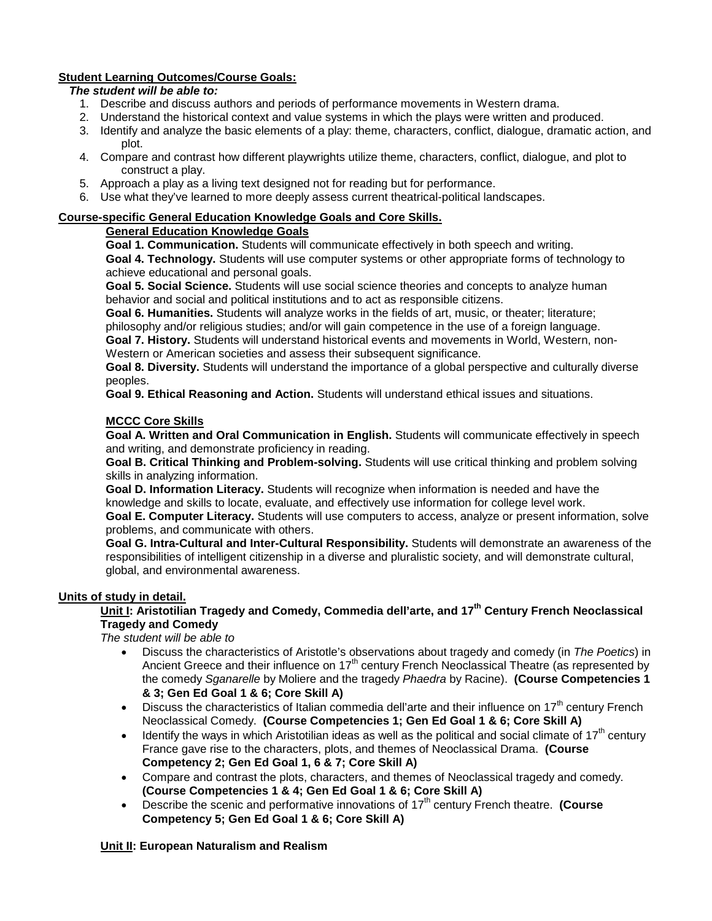# **Student Learning Outcomes/Course Goals:**

### *The student will be able to:*

- 1. Describe and discuss authors and periods of performance movements in Western drama.
- 2. Understand the historical context and value systems in which the plays were written and produced.
- 3. Identify and analyze the basic elements of a play: theme, characters, conflict, dialogue, dramatic action, and plot.
- 4. Compare and contrast how different playwrights utilize theme, characters, conflict, dialogue, and plot to construct a play.
- 5. Approach a play as a living text designed not for reading but for performance.
- 6. Use what they've learned to more deeply assess current theatrical-political landscapes.

### **Course-specific General Education Knowledge Goals and Core Skills.**

# **General Education Knowledge Goals**

**Goal 1. Communication.** Students will communicate effectively in both speech and writing. **Goal 4. Technology.** Students will use computer systems or other appropriate forms of technology to achieve educational and personal goals.

**Goal 5. Social Science.** Students will use social science theories and concepts to analyze human behavior and social and political institutions and to act as responsible citizens.

**Goal 6. Humanities.** Students will analyze works in the fields of art, music, or theater; literature; philosophy and/or religious studies; and/or will gain competence in the use of a foreign language.

**Goal 7. History.** Students will understand historical events and movements in World, Western, non-Western or American societies and assess their subsequent significance.

**Goal 8. Diversity.** Students will understand the importance of a global perspective and culturally diverse peoples.

**Goal 9. Ethical Reasoning and Action.** Students will understand ethical issues and situations.

### **MCCC Core Skills**

**Goal A. Written and Oral Communication in English.** Students will communicate effectively in speech and writing, and demonstrate proficiency in reading.

**Goal B. Critical Thinking and Problem-solving.** Students will use critical thinking and problem solving skills in analyzing information.

**Goal D. Information Literacy.** Students will recognize when information is needed and have the knowledge and skills to locate, evaluate, and effectively use information for college level work.

**Goal E. Computer Literacy.** Students will use computers to access, analyze or present information, solve problems, and communicate with others.

**Goal G. Intra-Cultural and Inter-Cultural Responsibility.** Students will demonstrate an awareness of the responsibilities of intelligent citizenship in a diverse and pluralistic society, and will demonstrate cultural, global, and environmental awareness.

### **Units of study in detail.**

# **Unit I: Aristotilian Tragedy and Comedy, Commedia dell'arte, and 17th Century French Neoclassical Tragedy and Comedy**

*The student will be able to*

- Discuss the characteristics of Aristotle's observations about tragedy and comedy (in *The Poetics*) in Ancient Greece and their influence on  $17<sup>th</sup>$  century French Neoclassical Theatre (as represented by the comedy *Sganarelle* by Moliere and the tragedy *Phaedra* by Racine). **(Course Competencies 1 & 3; Gen Ed Goal 1 & 6; Core Skill A)**
- Discuss the characteristics of Italian commedia dell'arte and their influence on  $17<sup>th</sup>$  century French Neoclassical Comedy. **(Course Competencies 1; Gen Ed Goal 1 & 6; Core Skill A)**
- Identify the ways in which Aristotilian ideas as well as the political and social climate of  $17<sup>th</sup>$  century France gave rise to the characters, plots, and themes of Neoclassical Drama. **(Course Competency 2; Gen Ed Goal 1, 6 & 7; Core Skill A)**
- Compare and contrast the plots, characters, and themes of Neoclassical tragedy and comedy. **(Course Competencies 1 & 4; Gen Ed Goal 1 & 6; Core Skill A)**
- Describe the scenic and performative innovations of 17th century French theatre. **(Course Competency 5; Gen Ed Goal 1 & 6; Core Skill A)**

### **Unit II: European Naturalism and Realism**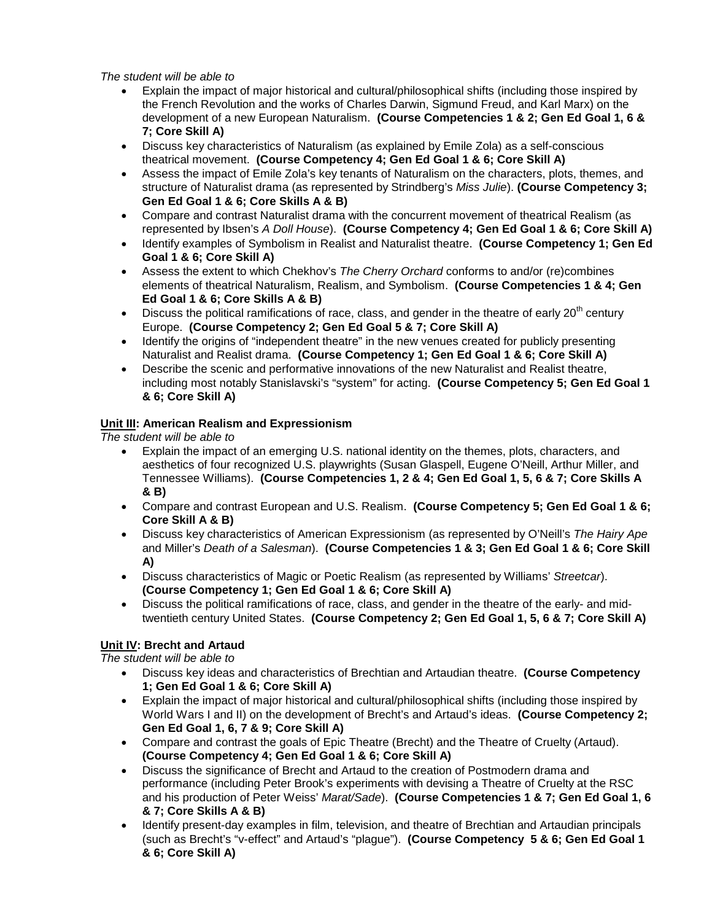*The student will be able to*

- Explain the impact of major historical and cultural/philosophical shifts (including those inspired by the French Revolution and the works of Charles Darwin, Sigmund Freud, and Karl Marx) on the development of a new European Naturalism. **(Course Competencies 1 & 2; Gen Ed Goal 1, 6 & 7; Core Skill A)**
- Discuss key characteristics of Naturalism (as explained by Emile Zola) as a self-conscious theatrical movement. **(Course Competency 4; Gen Ed Goal 1 & 6; Core Skill A)**
- Assess the impact of Emile Zola's key tenants of Naturalism on the characters, plots, themes, and structure of Naturalist drama (as represented by Strindberg's *Miss Julie*). **(Course Competency 3; Gen Ed Goal 1 & 6; Core Skills A & B)**
- Compare and contrast Naturalist drama with the concurrent movement of theatrical Realism (as represented by Ibsen's *A Doll House*). **(Course Competency 4; Gen Ed Goal 1 & 6; Core Skill A)**
- Identify examples of Symbolism in Realist and Naturalist theatre. **(Course Competency 1; Gen Ed Goal 1 & 6; Core Skill A)**
- Assess the extent to which Chekhov's *The Cherry Orchard* conforms to and/or (re)combines elements of theatrical Naturalism, Realism, and Symbolism. **(Course Competencies 1 & 4; Gen Ed Goal 1 & 6; Core Skills A & B)**
- Discuss the political ramifications of race, class, and gender in the theatre of early  $20^{th}$  century Europe. **(Course Competency 2; Gen Ed Goal 5 & 7; Core Skill A)**
- Identify the origins of "independent theatre" in the new venues created for publicly presenting Naturalist and Realist drama. **(Course Competency 1; Gen Ed Goal 1 & 6; Core Skill A)**
- Describe the scenic and performative innovations of the new Naturalist and Realist theatre, including most notably Stanislavski's "system" for acting. **(Course Competency 5; Gen Ed Goal 1 & 6; Core Skill A)**

### **Unit III: American Realism and Expressionism**

*The student will be able to*

- Explain the impact of an emerging U.S. national identity on the themes, plots, characters, and aesthetics of four recognized U.S. playwrights (Susan Glaspell, Eugene O'Neill, Arthur Miller, and Tennessee Williams). **(Course Competencies 1, 2 & 4; Gen Ed Goal 1, 5, 6 & 7; Core Skills A & B)**
- Compare and contrast European and U.S. Realism. **(Course Competency 5; Gen Ed Goal 1 & 6; Core Skill A & B)**
- Discuss key characteristics of American Expressionism (as represented by O'Neill's *The Hairy Ape* and Miller's *Death of a Salesman*). **(Course Competencies 1 & 3; Gen Ed Goal 1 & 6; Core Skill A)**
- Discuss characteristics of Magic or Poetic Realism (as represented by Williams' *Streetcar*). **(Course Competency 1; Gen Ed Goal 1 & 6; Core Skill A)**
- Discuss the political ramifications of race, class, and gender in the theatre of the early- and midtwentieth century United States. **(Course Competency 2; Gen Ed Goal 1, 5, 6 & 7; Core Skill A)**

### **Unit IV: Brecht and Artaud**

*The student will be able to*

- Discuss key ideas and characteristics of Brechtian and Artaudian theatre. **(Course Competency 1; Gen Ed Goal 1 & 6; Core Skill A)**
- Explain the impact of major historical and cultural/philosophical shifts (including those inspired by World Wars I and II) on the development of Brecht's and Artaud's ideas. **(Course Competency 2; Gen Ed Goal 1, 6, 7 & 9; Core Skill A)**
- Compare and contrast the goals of Epic Theatre (Brecht) and the Theatre of Cruelty (Artaud). **(Course Competency 4; Gen Ed Goal 1 & 6; Core Skill A)**
- Discuss the significance of Brecht and Artaud to the creation of Postmodern drama and performance (including Peter Brook's experiments with devising a Theatre of Cruelty at the RSC and his production of Peter Weiss' *Marat/Sade*). **(Course Competencies 1 & 7; Gen Ed Goal 1, 6 & 7; Core Skills A & B)**
- Identify present-day examples in film, television, and theatre of Brechtian and Artaudian principals (such as Brecht's "v-effect" and Artaud's "plague"). **(Course Competency 5 & 6; Gen Ed Goal 1 & 6; Core Skill A)**